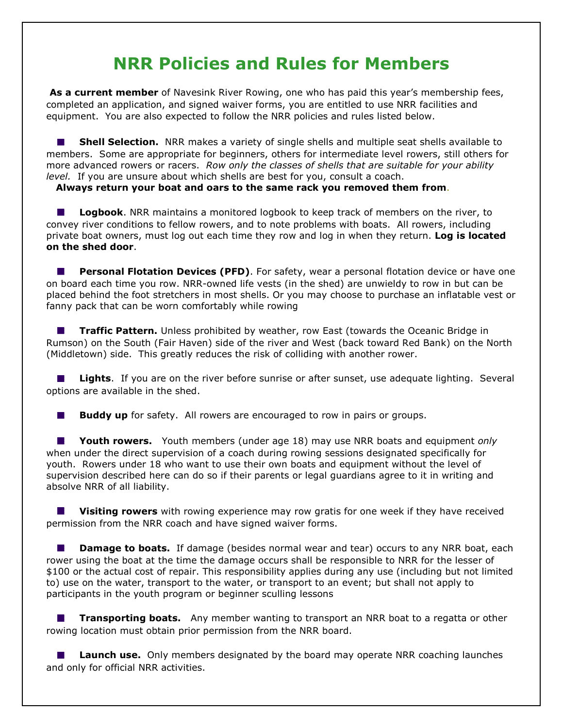## NRR Policies and Rules for Members

As a current member of Navesink River Rowing, one who has paid this year's membership fees, completed an application, and signed waiver forms, you are entitled to use NRR facilities and equipment. You are also expected to follow the NRR policies and rules listed below.

**Shell Selection.** NRR makes a variety of single shells and multiple seat shells available to  $\mathcal{L}_{\text{max}}$ members. Some are appropriate for beginners, others for intermediate level rowers, still others for more advanced rowers or racers. Row only the classes of shells that are suitable for your ability level. If you are unsure about which shells are best for you, consult a coach.

Always return your boat and oars to the same rack you removed them from.

Logbook. NRR maintains a monitored logbook to keep track of members on the river, to  $\mathcal{L}^{\mathcal{A}}$ convey river conditions to fellow rowers, and to note problems with boats. All rowers, including private boat owners, must log out each time they row and log in when they return. Log is located on the shed door.

**Personal Flotation Devices (PFD)**. For safety, wear a personal flotation device or have one on board each time you row. NRR-owned life vests (in the shed) are unwieldy to row in but can be placed behind the foot stretchers in most shells. Or you may choose to purchase an inflatable vest or fanny pack that can be worn comfortably while rowing

**Traffic Pattern.** Unless prohibited by weather, row East (towards the Oceanic Bridge in Rumson) on the South (Fair Haven) side of the river and West (back toward Red Bank) on the North (Middletown) side. This greatly reduces the risk of colliding with another rower.

Lights. If you are on the river before sunrise or after sunset, use adequate lighting. Several  $\mathcal{L}_{\mathcal{A}}$ options are available in the shed.

**Buddy up** for safety. All rowers are encouraged to row in pairs or groups.  $\mathcal{L}^{\text{max}}_{\text{max}}$ 

Youth rowers. Youth members (under age 18) may use NRR boats and equipment only when under the direct supervision of a coach during rowing sessions designated specifically for youth. Rowers under 18 who want to use their own boats and equipment without the level of supervision described here can do so if their parents or legal guardians agree to it in writing and absolve NRR of all liability.

**Visiting rowers** with rowing experience may row gratis for one week if they have received permission from the NRR coach and have signed waiver forms.

 $\mathcal{L}(\mathcal{A})$ **Damage to boats.** If damage (besides normal wear and tear) occurs to any NRR boat, each rower using the boat at the time the damage occurs shall be responsible to NRR for the lesser of \$100 or the actual cost of repair. This responsibility applies during any use (including but not limited to) use on the water, transport to the water, or transport to an event; but shall not apply to participants in the youth program or beginner sculling lessons

**Transporting boats.** Any member wanting to transport an NRR boat to a regatta or other rowing location must obtain prior permission from the NRR board.

**Launch use.** Only members designated by the board may operate NRR coaching launches and only for official NRR activities.